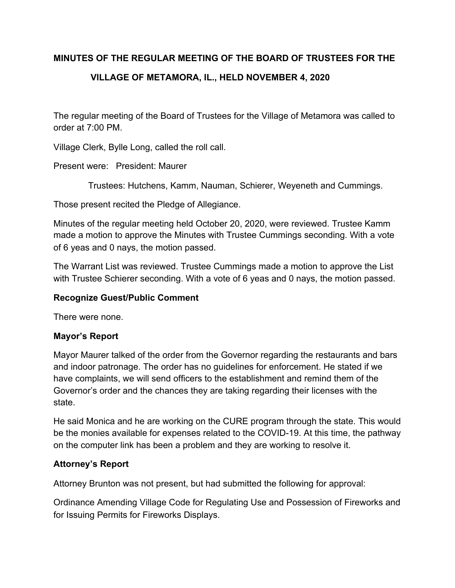### **MINUTES OF THE REGULAR MEETING OF THE BOARD OF TRUSTEES FOR THE**

# **VILLAGE OF METAMORA, IL., HELD NOVEMBER 4, 2020**

The regular meeting of the Board of Trustees for the Village of Metamora was called to order at 7:00 PM.

Village Clerk, Bylle Long, called the roll call.

Present were: President: Maurer

Trustees: Hutchens, Kamm, Nauman, Schierer, Weyeneth and Cummings.

Those present recited the Pledge of Allegiance.

Minutes of the regular meeting held October 20, 2020, were reviewed. Trustee Kamm made a motion to approve the Minutes with Trustee Cummings seconding. With a vote of 6 yeas and 0 nays, the motion passed.

The Warrant List was reviewed. Trustee Cummings made a motion to approve the List with Trustee Schierer seconding. With a vote of 6 yeas and 0 nays, the motion passed.

#### **Recognize Guest/Public Comment**

There were none.

### **Mayor's Report**

Mayor Maurer talked of the order from the Governor regarding the restaurants and bars and indoor patronage. The order has no guidelines for enforcement. He stated if we have complaints, we will send officers to the establishment and remind them of the Governor's order and the chances they are taking regarding their licenses with the state.

He said Monica and he are working on the CURE program through the state. This would be the monies available for expenses related to the COVID-19. At this time, the pathway on the computer link has been a problem and they are working to resolve it.

### **Attorney's Report**

Attorney Brunton was not present, but had submitted the following for approval:

Ordinance Amending Village Code for Regulating Use and Possession of Fireworks and for Issuing Permits for Fireworks Displays.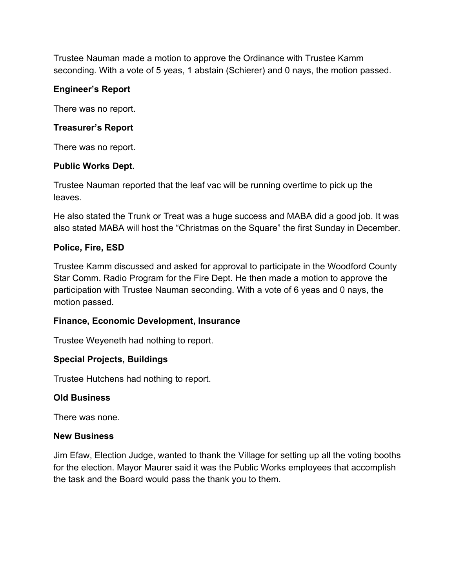Trustee Nauman made a motion to approve the Ordinance with Trustee Kamm seconding. With a vote of 5 yeas, 1 abstain (Schierer) and 0 nays, the motion passed.

### **Engineer's Report**

There was no report.

### **Treasurer's Report**

There was no report.

### **Public Works Dept.**

Trustee Nauman reported that the leaf vac will be running overtime to pick up the leaves.

He also stated the Trunk or Treat was a huge success and MABA did a good job. It was also stated MABA will host the "Christmas on the Square" the first Sunday in December.

# **Police, Fire, ESD**

Trustee Kamm discussed and asked for approval to participate in the Woodford County Star Comm. Radio Program for the Fire Dept. He then made a motion to approve the participation with Trustee Nauman seconding. With a vote of 6 yeas and 0 nays, the motion passed.

# **Finance, Economic Development, Insurance**

Trustee Weyeneth had nothing to report.

# **Special Projects, Buildings**

Trustee Hutchens had nothing to report.

# **Old Business**

There was none.

### **New Business**

Jim Efaw, Election Judge, wanted to thank the Village for setting up all the voting booths for the election. Mayor Maurer said it was the Public Works employees that accomplish the task and the Board would pass the thank you to them.